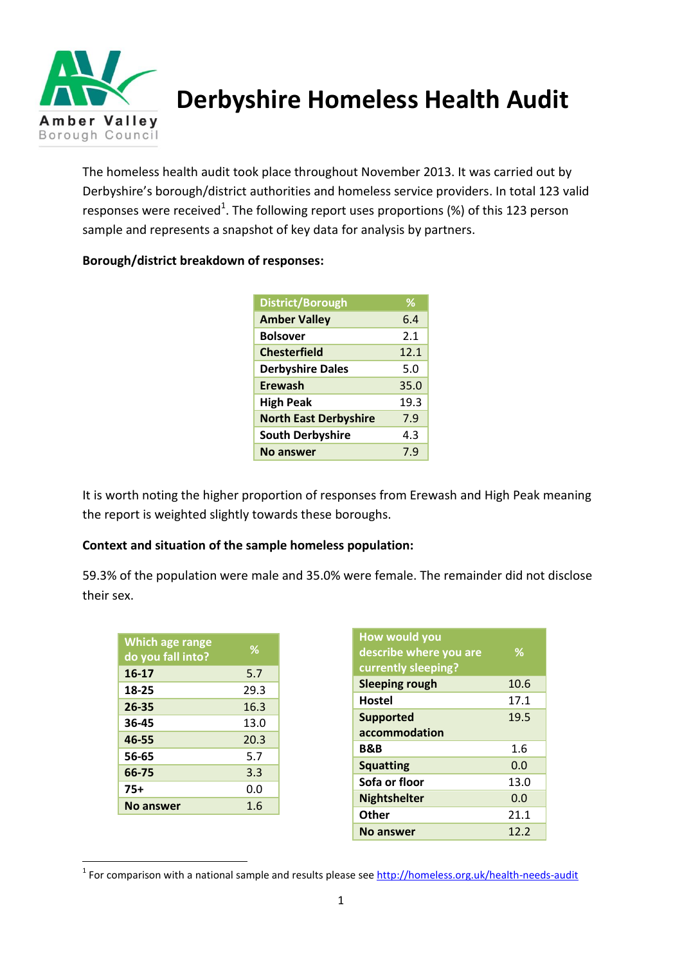

**Derbyshire Homeless Health Audit**

The homeless health audit took place throughout November 2013. It was carried out by Derbyshire's borough/district authorities and homeless service providers. In total 123 valid responses were received<sup>1</sup>. The following report uses proportions (%) of this 123 person sample and represents a snapshot of key data for analysis by partners.

| District/Borough             | $\%$ |
|------------------------------|------|
| <b>Amber Valley</b>          | 6.4  |
| <b>Bolsover</b>              | 2.1  |
| <b>Chesterfield</b>          | 12.1 |
| <b>Derbyshire Dales</b>      | 5.0  |
| Erewash                      | 35.0 |
| <b>High Peak</b>             | 19.3 |
| <b>North East Derbyshire</b> | 7.9  |
| <b>South Derbyshire</b>      | 4.3  |
| No answer                    | 7.9  |

### **Borough/district breakdown of responses:**

It is worth noting the higher proportion of responses from Erewash and High Peak meaning the report is weighted slightly towards these boroughs.

### **Context and situation of the sample homeless population:**

59.3% of the population were male and 35.0% were female. The remainder did not disclose their sex.

| <b>Which age range</b><br>do you fall into? | ℅    |
|---------------------------------------------|------|
| $16 - 17$                                   | 5.7  |
| 18-25                                       | 29.3 |
| $26 - 35$                                   | 16.3 |
| 36-45                                       | 13.0 |
| 46-55                                       | 20.3 |
| 56-65                                       | 5.7  |
| 66-75                                       | 3.3  |
| $75+$                                       | 0.0  |
| No answer                                   | 1.6  |

**.** 

| How would you          |      |
|------------------------|------|
| describe where you are | ℅    |
| currently sleeping?    |      |
| <b>Sleeping rough</b>  | 10.6 |
| Hostel                 | 17.1 |
| <b>Supported</b>       | 19.5 |
| accommodation          |      |
| <b>B&amp;B</b>         | 1.6  |
| <b>Squatting</b>       | 0.0  |
| Sofa or floor          | 13.0 |
| <b>Nightshelter</b>    | 0.0  |
| <b>Other</b>           | 21.1 |
| <b>No answer</b>       | 12.2 |

<sup>&</sup>lt;sup>1</sup> For comparison with a national sample and results please see<http://homeless.org.uk/health-needs-audit>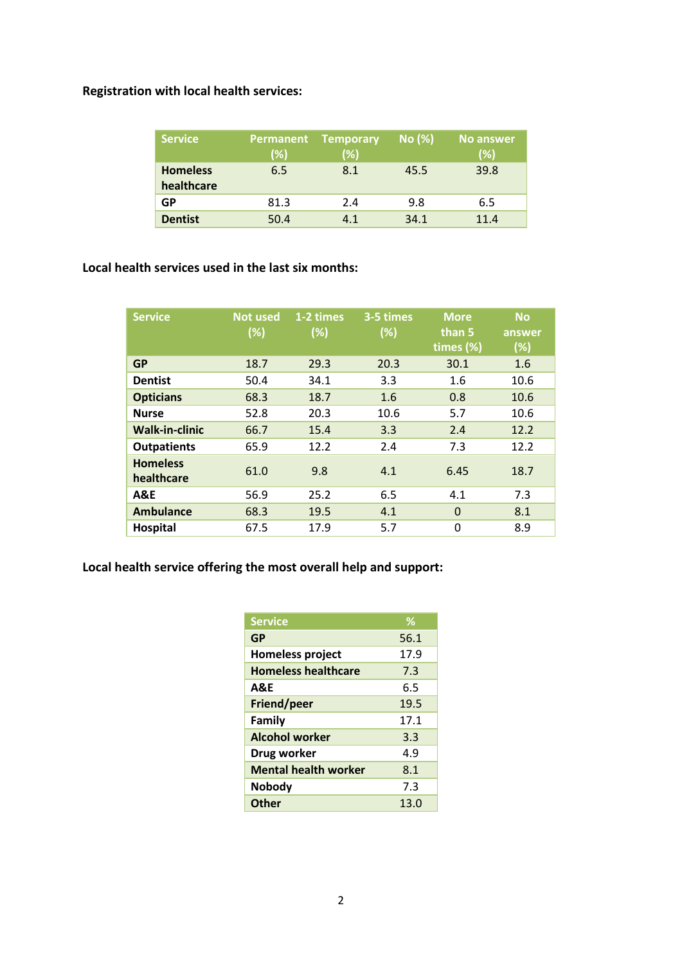# **Registration with local health services:**

| <b>Service</b>                | (%)  | <b>Permanent Temporary</b><br>(%) | No (%) | <b>No answer</b><br>(%) |
|-------------------------------|------|-----------------------------------|--------|-------------------------|
| <b>Homeless</b><br>healthcare | 6.5  | 8.1                               | 45.5   | 39.8                    |
| GP                            | 81.3 | 2.4                               | 9.8    | 6.5                     |
| <b>Dentist</b>                | 50.4 | 4.1                               | 34.1   | 11.4                    |

### **Local health services used in the last six months:**

| <b>Service</b>                | <b>Not used</b><br>(%) | 1-2 times<br>(%) | 3-5 times<br>(%) | <b>More</b><br>than 5<br>times $(\%)$ | <b>No</b><br>answer<br>(%) |
|-------------------------------|------------------------|------------------|------------------|---------------------------------------|----------------------------|
| <b>GP</b>                     | 18.7                   | 29.3             | 20.3             | 30.1                                  | 1.6                        |
| <b>Dentist</b>                | 50.4                   | 34.1             | 3.3              | 1.6                                   | 10.6                       |
| <b>Opticians</b>              | 68.3                   | 18.7             | 1.6              | 0.8                                   | 10.6                       |
| <b>Nurse</b>                  | 52.8                   | 20.3             | 10.6             | 5.7                                   | 10.6                       |
| <b>Walk-in-clinic</b>         | 66.7                   | 15.4             | 3.3              | 2.4                                   | 12.2                       |
| <b>Outpatients</b>            | 65.9                   | 12.2             | 2.4              | 7.3                                   | 12.2                       |
| <b>Homeless</b><br>healthcare | 61.0                   | 9.8              | 4.1              | 6.45                                  | 18.7                       |
| <b>A&amp;E</b>                | 56.9                   | 25.2             | 6.5              | 4.1                                   | 7.3                        |
| <b>Ambulance</b>              | 68.3                   | 19.5             | 4.1              | $\Omega$                              | 8.1                        |
| Hospital                      | 67.5                   | 17.9             | 5.7              | 0                                     | 8.9                        |

# **Local health service offering the most overall help and support:**

| <b>Service</b>              | %    |
|-----------------------------|------|
| GP                          | 56.1 |
| <b>Homeless project</b>     | 17.9 |
| <b>Homeless healthcare</b>  | 7.3  |
| A&E                         | 6.5  |
| Friend/peer                 | 19.5 |
| Family                      | 17.1 |
| <b>Alcohol worker</b>       | 3.3  |
| Drug worker                 | 4.9  |
| <b>Mental health worker</b> | 8.1  |
| <b>Nobody</b>               | 7.3  |
| <b>Other</b>                | 13.0 |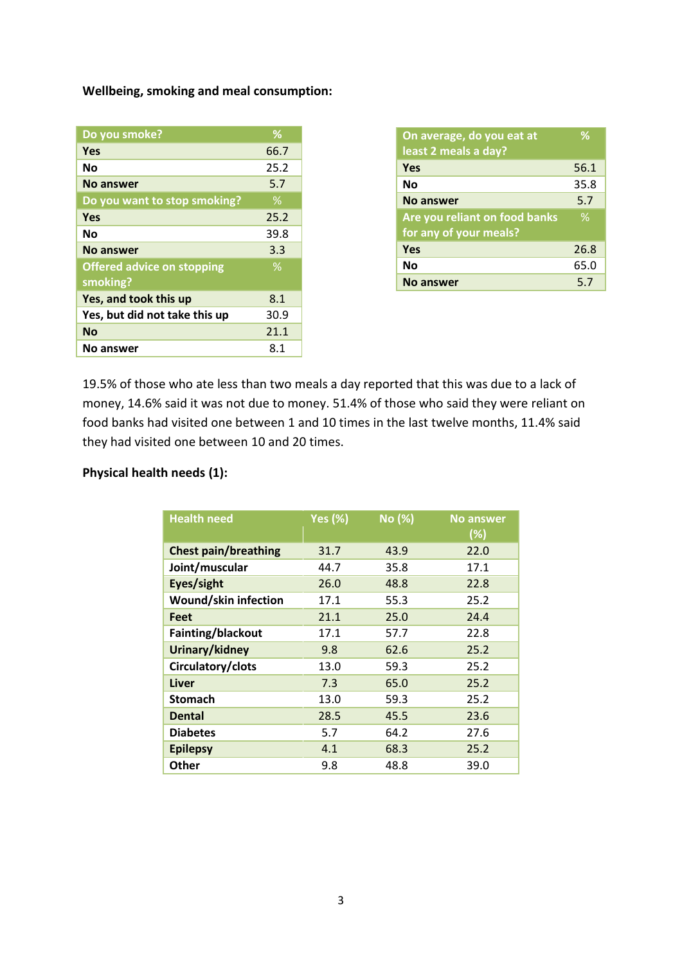**Wellbeing, smoking and meal consumption:** 

| Do you smoke?                                 | ℅    |
|-----------------------------------------------|------|
| Yes                                           | 66.7 |
| No                                            | 25.2 |
| No answer                                     | 5.7  |
| Do you want to stop smoking?                  | ℅    |
| Yes                                           | 25.2 |
| No                                            | 39.8 |
| No answer                                     | 3.3  |
| <b>Offered advice on stopping</b><br>smoking? | $\%$ |
| Yes, and took this up                         | 8.1  |
| Yes, but did not take this up                 | 30.9 |
| <b>No</b>                                     | 21.1 |
| No answer                                     | 8.1  |

| On average, do you eat at     | $\%$ |
|-------------------------------|------|
| least 2 meals a day?          |      |
| Yes                           | 56.1 |
| No                            | 35.8 |
| No answer                     | 5.7  |
|                               |      |
| Are you reliant on food banks | $\%$ |
| for any of your meals?        |      |
| Yes                           | 26.8 |
| No                            | 65.0 |

19.5% of those who ate less than two meals a day reported that this was due to a lack of money, 14.6% said it was not due to money. 51.4% of those who said they were reliant on food banks had visited one between 1 and 10 times in the last twelve months, 11.4% said they had visited one between 10 and 20 times.

## **Physical health needs (1):**

| <b>Health need</b>          | <b>Yes (%)</b> | No (%) | <b>No answer</b><br>$(\%)$ |
|-----------------------------|----------------|--------|----------------------------|
| <b>Chest pain/breathing</b> | 31.7           | 43.9   | 22.0                       |
| Joint/muscular              | 44.7           | 35.8   | 17.1                       |
| Eyes/sight                  | 26.0           | 48.8   | 22.8                       |
| Wound/skin infection        | 17.1           | 55.3   | 25.2                       |
| Feet                        | 21.1           | 25.0   | 24.4                       |
| Fainting/blackout           | 17.1           | 57.7   | 22.8                       |
| Urinary/kidney              | 9.8            | 62.6   | 25.2                       |
| Circulatory/clots           | 13.0           | 59.3   | 25.2                       |
| Liver                       | 7.3            | 65.0   | 25.2                       |
| <b>Stomach</b>              | 13.0           | 59.3   | 25.2                       |
| Dental                      | 28.5           | 45.5   | 23.6                       |
| <b>Diabetes</b>             | 5.7            | 64.2   | 27.6                       |
| <b>Epilepsy</b>             | 4.1            | 68.3   | 25.2                       |
| Other                       | 9.8            | 48.8   | 39.0                       |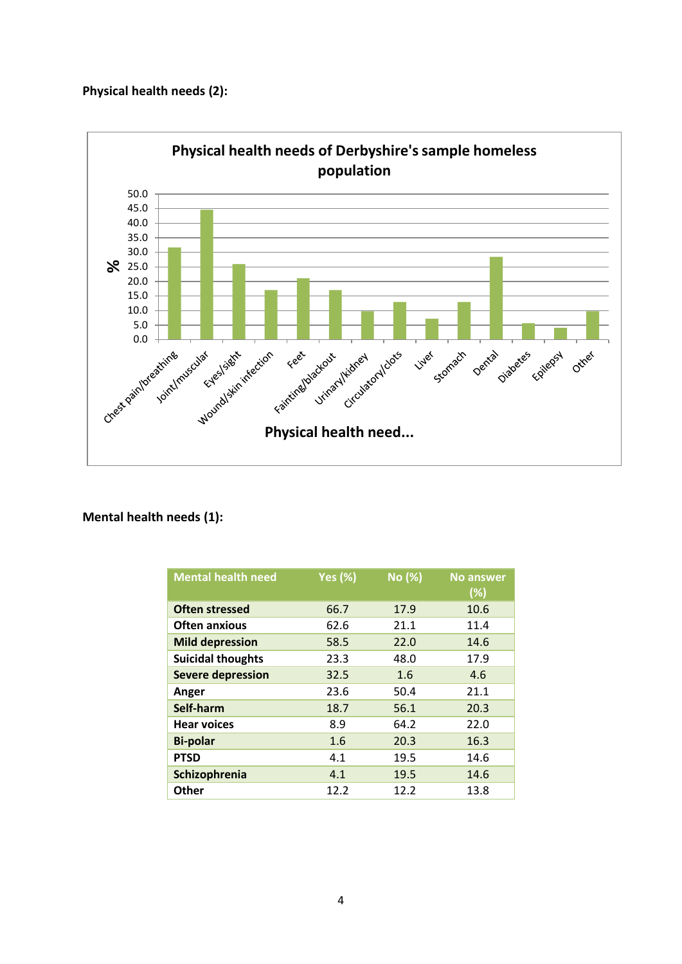#### **Physical health needs (2):**



### **Mental health needs (1):**

| <b>Mental health need</b> | <b>Yes (%)</b> | No (%) | <b>No answer</b> |
|---------------------------|----------------|--------|------------------|
|                           |                |        | (%)              |
| <b>Often stressed</b>     | 66.7           | 17.9   | 10.6             |
| <b>Often anxious</b>      | 62.6           | 21.1   | 11.4             |
| <b>Mild depression</b>    | 58.5           | 22.0   | 14.6             |
| <b>Suicidal thoughts</b>  | 23.3           | 48.0   | 17.9             |
| <b>Severe depression</b>  | 32.5           | 1.6    | 4.6              |
| Anger                     | 23.6           | 50.4   | 21.1             |
| Self-harm                 | 18.7           | 56.1   | 20.3             |
| <b>Hear voices</b>        | 8.9            | 64.2   | 22.0             |
| <b>Bi-polar</b>           | 1.6            | 20.3   | 16.3             |
| <b>PTSD</b>               | 4.1            | 19.5   | 14.6             |
| Schizophrenia             | 4.1            | 19.5   | 14.6             |
| <b>Other</b>              | 12.2           | 12.2   | 13.8             |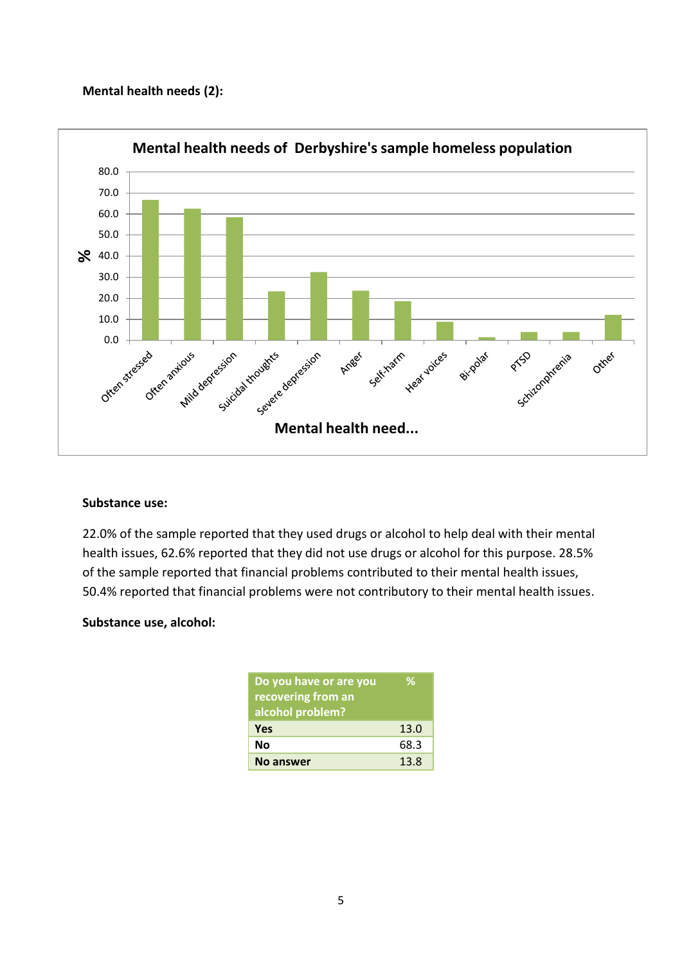#### **Mental health needs (2):**



#### **Substance use:**

22.0% of the sample reported that they used drugs or alcohol to help deal with their mental health issues, 62.6% reported that they did not use drugs or alcohol for this purpose. 28.5% of the sample reported that financial problems contributed to their mental health issues, 50.4% reported that financial problems were not contributory to their mental health issues.

#### **Substance use, alcohol:**

| Do you have or are you | ℅    |
|------------------------|------|
| recovering from an     |      |
| alcohol problem?       |      |
| <b>Yes</b>             | 13.0 |
| Νo                     | 68.3 |
| <b>No answer</b>       | 13.8 |